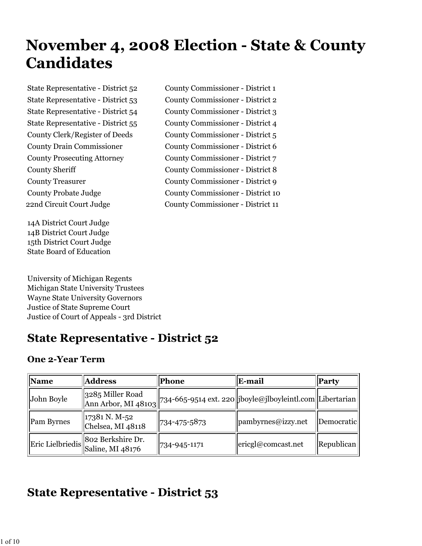# **November 4, 2008 Election - State & County Candidates**

14A District Court Judge 14B District Court Judge 15th District Court Judge State Board of Education

University of Michigan Regents Michigan State University Trustees Wayne State University Governors Justice of State Supreme Court Justice of Court of Appeals - 3rd District

### **State Representative - District 52**

#### **One 2-Year Term**

| Name       | <b>Address</b>                                         | <b>Phone</b>  | E-mail                                                                            | <b>Party</b> |
|------------|--------------------------------------------------------|---------------|-----------------------------------------------------------------------------------|--------------|
| John Boyle | 3285 Miller Road                                       |               | $\ $ Ann Arbor, MI 48103 734-665-9514 ext. 220 jboyle@jlboyleintl.com Libertarian |              |
| Pam Byrnes | 17381 N. M-52<br>Chelsea, MI 48118                     | 1734-475-5873 | pambyrnes@izzy.net                                                                | Democratic   |
|            | Eric Lielbriedis 802 Berkshire Dr.<br>Saline, MI 48176 | 734-945-1171  | ericgl@connect.net                                                                | Republican   |

### **State Representative - District 53**

State Representative - District 52 County Commissioner - District 1 State Representative - District 53 County Commissioner - District 2 State Representative - District 54 County Commissioner - District 3 State Representative - District 55 County Commissioner - District 4 County Clerk/Register of Deeds County Commissioner - District 5 County Drain Commissioner County Commissioner - District 6 County Prosecuting Attorney County Commissioner - District 7 County Sheriff County Commissioner - District 8 County Treasurer County Commissioner - District 9 County Probate Judge County Commissioner - District 10 22nd Circuit Court Judge County Commissioner - District 11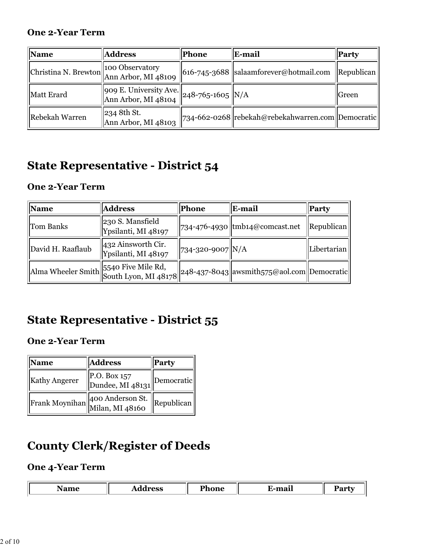#### **One 2-Year Term**

| $\mathbf{\mathbf{Name}}$ | <b>Address</b>                                                                    | Phone | E-mail                                              | <b>Party</b>               |
|--------------------------|-----------------------------------------------------------------------------------|-------|-----------------------------------------------------|----------------------------|
|                          | Christina N. Brewton 400 Observatory<br>Ann Arbor, MI 48109                       |       | $ 616-745-3688 $ salaamforever@hotmail.com          | $\vert$ Republican $\vert$ |
| Matt Erard               | $\sqrt{\frac{1}{909}}$ E. University Ave. 248-765-1605 N/A<br>Ann Arbor, MI 48104 |       |                                                     | Green                      |
| Rebekah Warren           | 234 8th St.<br>Ann Arbor, MI 48103                                                |       | 734-662-0268  rebekah@rebekahwarren.com  Democratic |                            |

## **State Representative - District 54**

### **One 2-Year Term**

| <b>Name</b>       | <b>Address</b>                            | Phone             | E-mail                                                         | Party             |
|-------------------|-------------------------------------------|-------------------|----------------------------------------------------------------|-------------------|
| Tom Banks         | 230 S. Mansfield<br>Ypsilanti, MI 48197   |                   | 734-476-4930 tmb14@comcast.net                                 | <b>Republican</b> |
| David H. Raaflaub | 432 Ainsworth Cir.<br>Ypsilanti, MI 48197 | 734-320-9007  N/A |                                                                | Libertarian       |
|                   | Alma Wheeler Smith 5540 Five Mile Rd,     |                   | $\ $ 248-437-8043 $\ $ awsmith575@aol.com $\ $ Democratic $\ $ |                   |

## **State Representative - District 55**

#### **One 2-Year Term**

| <b>Name</b>          | <b>Address</b>                           | <b>Party</b> |
|----------------------|------------------------------------------|--------------|
| <b>Kathy Angerer</b> | $\vert$ P.O. Box 157<br>Dundee, MI 48131 | Democratic   |
|                      | Frank Moynihan 400 Anderson St.          | Republican   |

### **County Clerk/Register of Deeds**

#### **One 4-Year Term**

| $\sim$<br>--<br>---<br>$-$ |  |  |  |
|----------------------------|--|--|--|
|                            |  |  |  |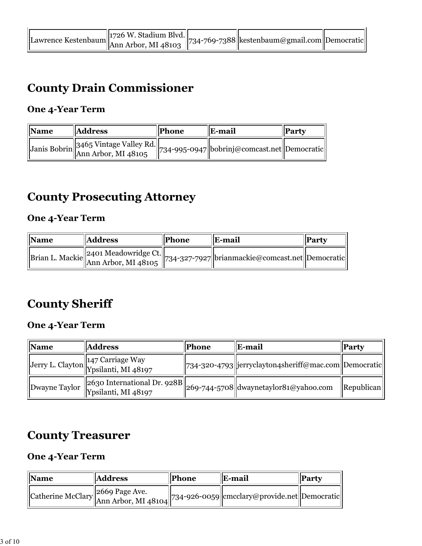|  | $\ $ 1726 W. Stadium Blvd.<br>awrence Kestenbaum $\ $ Ann Arbor, MI 48103 $\ $ /04/22/22 |  | " 734-769-7388  kestenbaum@gmail.com  Democratic |  |
|--|------------------------------------------------------------------------------------------|--|--------------------------------------------------|--|
|--|------------------------------------------------------------------------------------------|--|--------------------------------------------------|--|

### **County Drain Commissioner**

#### **One 4-Year Term**

| <b>Name</b> | <b>Address</b>                                                                   | Phone | E-mail | Party |
|-------------|----------------------------------------------------------------------------------|-------|--------|-------|
|             | Janis Bobrin 3465 Vintage Valley Rd. 734-995-0947 bobrinj@comcast.net Democratic |       |        |       |

### **County Prosecuting Attorney**

### **One 4-Year Term**

| <b>Name</b> | <b>Address</b> | <b>Phone</b> | <b>IE-mail</b>                                                                       | <b>Party</b> |
|-------------|----------------|--------------|--------------------------------------------------------------------------------------|--------------|
|             |                |              | Brian L. Mackie 2401 Meadowridge Ct. 734-327-7927 brianmackie@comcast.net Democratic |              |

# **County Sheriff**

### **One 4-Year Term**

| <b>Name</b>   | <b>Address</b>                                           | <b>Phone</b> | E-mail                                                                                                                            | Party                      |
|---------------|----------------------------------------------------------|--------------|-----------------------------------------------------------------------------------------------------------------------------------|----------------------------|
|               | Jerry L. Clayton 147 Carriage Way<br>Ypsilanti, MI 48197 |              | 734-320-4793  jerryclayton4sheriff@mac.com  Democratic                                                                            |                            |
| Dwayne Taylor |                                                          |              | $\mathbb{E}\left\ \left[\frac{2630~\text{International Dr. 928B}}{269-744-5708}\right]\right\ _{\text{dwaynetaylor81@yahoo.com}}$ | $\vert$ Republican $\vert$ |

### **County Treasurer**

#### **One 4-Year Term**

| <i><b>Name</b></i> | <b>Address</b> | <b>Phone</b> | E-mail                                                                                                                                                                                   | Party |
|--------------------|----------------|--------------|------------------------------------------------------------------------------------------------------------------------------------------------------------------------------------------|-------|
|                    |                |              | $\left\  \text{Catherine McCarthy} \right\ _{\text{Ann Arbor, MI 48104}}^{\text{2669 Page Ave.}} \right\ $ 734-926-0059 $\left\  \text{emcclary@provide.net} \right\  \text{Democratic}$ |       |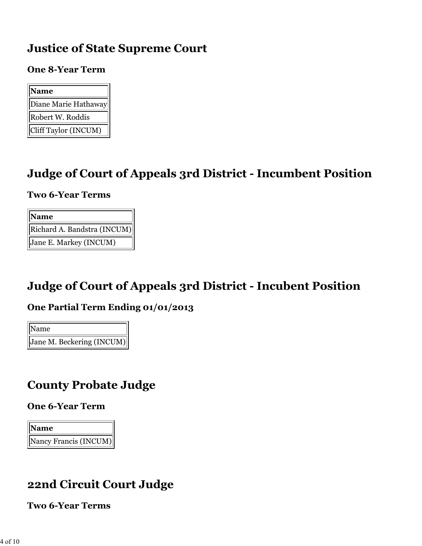### **Justice of State Supreme Court**

#### **One 8-Year Term**

| <b>Name</b>          |
|----------------------|
| Diane Marie Hathaway |
| Robert W. Roddis     |
| Cliff Taylor (INCUM) |

### **Judge of Court of Appeals 3rd District - Incumbent Position**

#### **Two 6-Year Terms**

| Name                        |
|-----------------------------|
| Richard A. Bandstra (INCUM) |
| Jane E. Markey (INCUM)      |

### **Judge of Court of Appeals 3rd District - Incubent Position**

#### **One Partial Term Ending 01/01/2013**

Name Jane M. Beckering (INCUM)

### **County Probate Judge**

#### **One 6-Year Term**



### **22nd Circuit Court Judge**

**Two 6-Year Terms**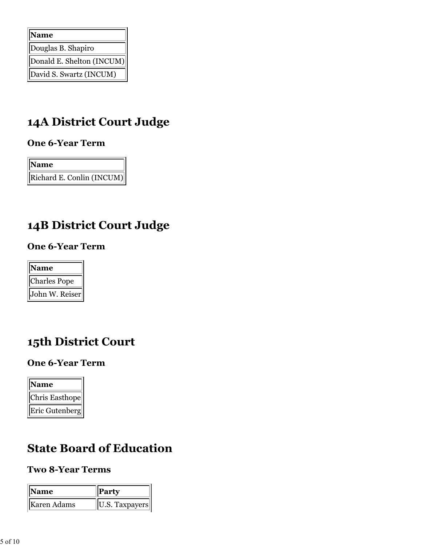| Name                      |
|---------------------------|
| Douglas B. Shapiro        |
| Donald E. Shelton (INCUM) |
| David S. Swartz (INCUM)   |

## **14A District Court Judge**

#### **One 6-Year Term**

| Name                      |
|---------------------------|
| Richard E. Conlin (INCUM) |

## **14B District Court Judge**

#### **One 6-Year Term**

| Name           |
|----------------|
| Charles Pope   |
| John W. Reiser |

### **15th District Court**

### **One 6-Year Term**

| <b>Name</b>           |
|-----------------------|
| <b>Chris Easthope</b> |
| Eric Gutenberg        |

### **State Board of Education**

### **Two 8-Year Terms**

| <b>Name</b> | Party          |
|-------------|----------------|
| Karen Adams | U.S. Taxpayers |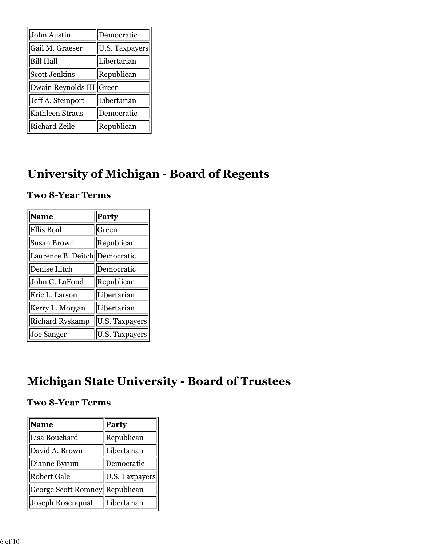| John Austin              | Democratic            |  |
|--------------------------|-----------------------|--|
| Gail M. Graeser          | <b>U.S. Taxpayers</b> |  |
| <b>Bill Hall</b>         | Libertarian           |  |
| <b>Scott Jenkins</b>     | Republican            |  |
| Dwain Reynolds III Green |                       |  |
| Jeff A. Steinport        | Libertarian           |  |
| Kathleen Straus          | Democratic            |  |
| <b>Richard Zeile</b>     | Republican            |  |

## **University of Michigan - Board of Regents**

#### **Two 8-Year Terms**

| <b>Name</b>        | <b>Party</b>   |  |
|--------------------|----------------|--|
| <b>Ellis Boal</b>  | Green          |  |
| <b>Susan Brown</b> | Republican     |  |
| Laurence B. Deitch | Democratic     |  |
| Denise Ilitch      | Democratic     |  |
| John G. LaFond     | Republican     |  |
| Eric L. Larson     | Libertarian    |  |
| Kerry L. Morgan    | Libertarian    |  |
| Richard Ryskamp    | U.S. Taxpayers |  |
| <b>Joe Sanger</b>  | U.S. Taxpayers |  |

## **Michigan State University - Board of Trustees**

#### **Two 8-Year Terms**

| <b>Name</b>                    | Party          |  |
|--------------------------------|----------------|--|
| Lisa Bouchard                  | Republican     |  |
| David A. Brown                 | Libertarian    |  |
| Dianne Byrum                   | Democratic     |  |
| <b>Robert Gale</b>             | U.S. Taxpayers |  |
| George Scott Romney Republican |                |  |
| Joseph Rosenquist              | Libertarian    |  |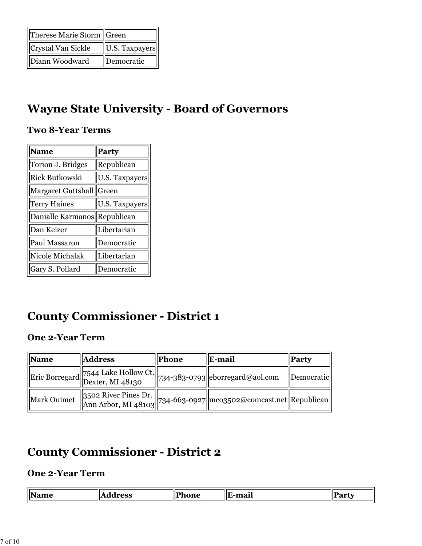| Therese Marie Storm  Green |                |
|----------------------------|----------------|
| Crystal Van Sickle         | U.S. Taxpayers |
| Diann Woodward             | Democratic     |

### **Wayne State University - Board of Governors**

#### **Two 8-Year Terms**

| <b>Name</b>           | Party                 |
|-----------------------|-----------------------|
| Torion J. Bridges     | Republican            |
| <b>Rick Butkowski</b> | U.S. Taxpayers        |
| Margaret Guttshall    | Green                 |
| <b>Terry Haines</b>   | <b>U.S. Taxpayers</b> |
| Danialle Karmanos     | Republican            |
| Dan Keizer            | Libertarian           |
| Paul Massaron         | Democratic            |
| Nicole Michalak       | Libertarian           |
| Gary S. Pollard       | Democratic            |

### **County Commissioner - District 1**

### **One 2-Year Term**

| <b>Name</b> | <b>Address</b>                                                      | <b>Phone</b> | E-mail                                                           | Party      |
|-------------|---------------------------------------------------------------------|--------------|------------------------------------------------------------------|------------|
|             | Eric Borregard 7544 Lake Hollow Ct. 734-383-0793 eborregard@aol.com |              |                                                                  | Democratic |
| Mark Ouimet |                                                                     |              | 3502 River Pines Dr. 734-663-0927 mco3502@comcast.net Republican |            |

### **County Commissioner - District 2**

### **One 2-Year Term**

| 'IN≤    | $\sim$ | $ \mathbf{P} $ | $\sim$<br> | ш   |
|---------|--------|----------------|------------|-----|
| .<br>__ |        | ______         | . .        | . . |
|         |        |                |            |     |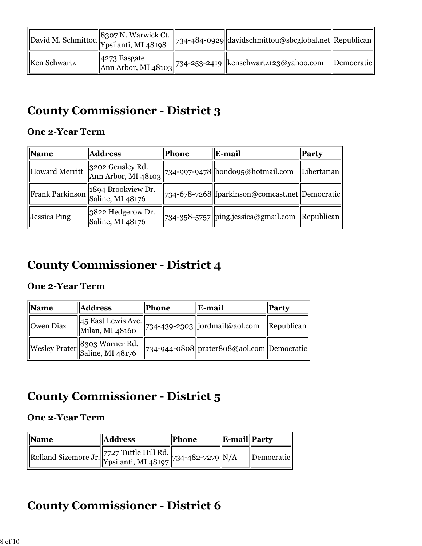|              | David M. Schmittou 8307 N. Warwick Ct. | $\left\  734 - 484 - 0929 \right\ $ davidschmittou@sbcglobal.net $\left\ $ Republican |                          |
|--------------|----------------------------------------|---------------------------------------------------------------------------------------|--------------------------|
| Ken Schwartz |                                        | 4273 Easgate<br>Ann Arbor, MI 48103 734-253-2419 kenschwartz123@yahoo.com             | <i><b>Democratic</b></i> |

## **County Commissioner - District 3**

#### **One 2-Year Term**

| <b>Name</b>         | <b>Address</b>                                         | Phone | E-mail                                                           | Party                      |
|---------------------|--------------------------------------------------------|-------|------------------------------------------------------------------|----------------------------|
|                     |                                                        |       | Howard Merritt 3202 Gensley Rd. 734-997-9478 hondo95@hotmail.com | Libertarian                |
|                     | Frank Parkinson 1894 Brookview Dr.<br>Saline, MI 48176 |       | 734-678-7268  fparkinson@comcast.net  Democratic                 |                            |
| <b>Jessica Ping</b> | 3822 Hedgerow Dr.<br>Saline, MI 48176                  |       | 734-358-5757   ping.jessica@gmail.com                            | $\vert$ Republican $\vert$ |

## **County Commissioner - District 4**

### **One 2-Year Term**

| <b>Name</b>      | <b>Address</b>                        | Phone | E-mail                                       | <b>Party</b> |
|------------------|---------------------------------------|-------|----------------------------------------------|--------------|
| <b>Owen</b> Diaz | 45 East Lewis Ave.<br>Milan, MI 48160 |       | 734-439-2303   jordmail@aol.com              | Republican   |
|                  | Wesley Prater 8303 Warner Rd.         |       | $734-944-0808$  prater808@aol.com Democratic |              |

### **County Commissioner - District 5**

#### **One 2-Year Term**

| <b>Name</b>                                                | <b>Address</b> | <b>Phone</b> | <b>E-mail</b> Party |                                 |
|------------------------------------------------------------|----------------|--------------|---------------------|---------------------------------|
| Rolland Sizemore Jr. 7727 Tuttle Hill Rd. 734-482-7279 N/A |                |              |                     | <i><u><b>Democratic</b></u></i> |

### **County Commissioner - District 6**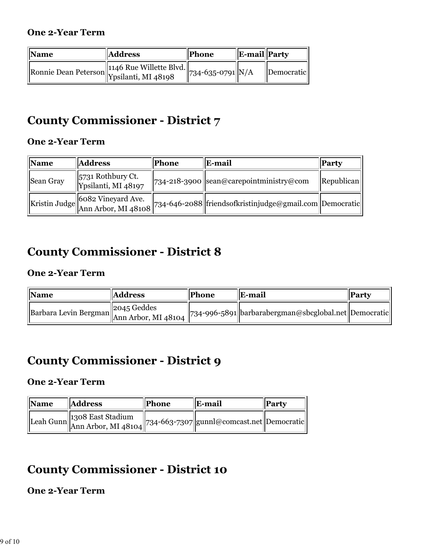| <b>Name</b> | <b>Address</b>                               | Phone               | $\ $ E-mail $\ $ Party |                   |
|-------------|----------------------------------------------|---------------------|------------------------|-------------------|
|             | Ronnie Dean Peterson 1146 Rue Willette Blvd. | $ 734-635-0791 N/A$ |                        | <i>Democratic</i> |

### **County Commissioner - District 7**

#### **One 2-Year Term**

| Name      | <b>Address</b>                                              | Phone | E-mail                                                                                                                        | <b>Party</b>               |
|-----------|-------------------------------------------------------------|-------|-------------------------------------------------------------------------------------------------------------------------------|----------------------------|
| Sean Gray | $\left\  5731 \right\}$ Rothbury Ct.<br>Ypsilanti, MI 48197 |       | $\ $ 734-218-3900 sean@carepointministry@com                                                                                  | $\vert$ Republican $\vert$ |
|           |                                                             |       | Kristin Judge 6082 Vineyard Ave.<br>Kristin Judge Ann Arbor, MI 48108 734-646-2088 friendsofkristinjudge@gmail.com Democratic |                            |

### **County Commissioner - District 8**

#### **One 2-Year Term**

| $\mathbb{N}$ ame                                         | <b>Address</b> | Phone | E-mail                                                       | <b>Party</b> |
|----------------------------------------------------------|----------------|-------|--------------------------------------------------------------|--------------|
| Barbara Levin Bergman 2045 Geddes<br>Ann Arbor, MI 48104 |                |       | $\vert$ 734-996-5891 barbarabergman@sbcglobal.net Democratic |              |

### **County Commissioner - District 9**

### **One 2-Year Term**

| <b>Name</b> | <b>Address</b>                                                                               | Phone | E-mail | Party |
|-------------|----------------------------------------------------------------------------------------------|-------|--------|-------|
|             | Leah Gunn 1308 East Stadium<br>Ann Arbor, MI 48104 734-663-7307 gunnl@comcast.net Democratic |       |        |       |

### **County Commissioner - District 10**

### **One 2-Year Term**